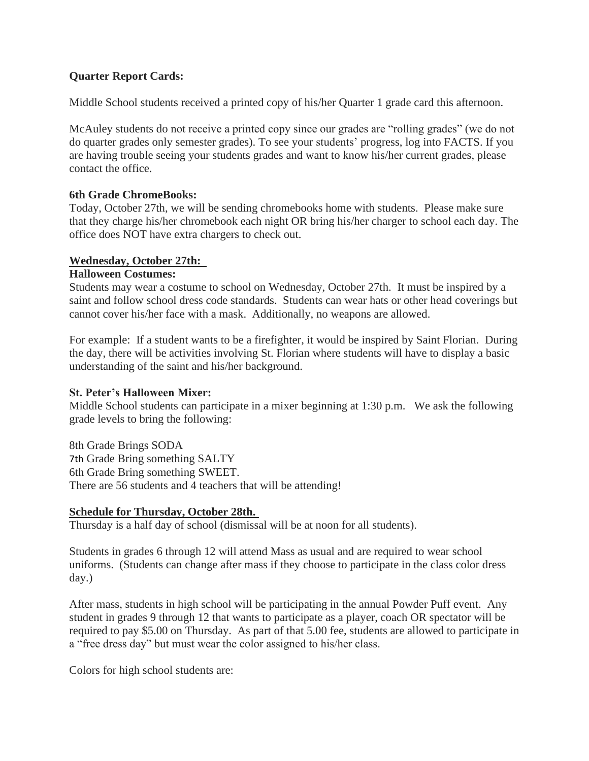# **Quarter Report Cards:**

Middle School students received a printed copy of his/her Quarter 1 grade card this afternoon.

McAuley students do not receive a printed copy since our grades are "rolling grades" (we do not do quarter grades only semester grades). To see your students' progress, log into FACTS. If you are having trouble seeing your students grades and want to know his/her current grades, please contact the office.

## **6th Grade ChromeBooks:**

Today, October 27th, we will be sending chromebooks home with students. Please make sure that they charge his/her chromebook each night OR bring his/her charger to school each day. The office does NOT have extra chargers to check out.

## **Wednesday, October 27th:**

## **Halloween Costumes:**

Students may wear a costume to school on Wednesday, October 27th. It must be inspired by a saint and follow school dress code standards. Students can wear hats or other head coverings but cannot cover his/her face with a mask. Additionally, no weapons are allowed.

For example: If a student wants to be a firefighter, it would be inspired by Saint Florian. During the day, there will be activities involving St. Florian where students will have to display a basic understanding of the saint and his/her background.

# **St. Peter's Halloween Mixer:**

Middle School students can participate in a mixer beginning at 1:30 p.m. We ask the following grade levels to bring the following:

8th Grade Brings SODA 7th Grade Bring something SALTY 6th Grade Bring something SWEET. There are 56 students and 4 teachers that will be attending!

# **Schedule for Thursday, October 28th.**

Thursday is a half day of school (dismissal will be at noon for all students).

Students in grades 6 through 12 will attend Mass as usual and are required to wear school uniforms. (Students can change after mass if they choose to participate in the class color dress day.)

After mass, students in high school will be participating in the annual Powder Puff event. Any student in grades 9 through 12 that wants to participate as a player, coach OR spectator will be required to pay \$5.00 on Thursday. As part of that 5.00 fee, students are allowed to participate in a "free dress day" but must wear the color assigned to his/her class.

Colors for high school students are: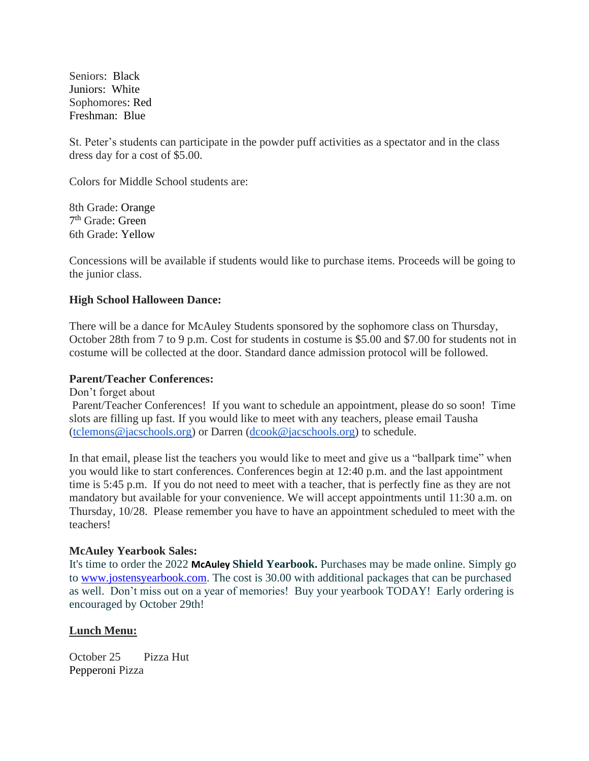Seniors: Black Juniors: White Sophomores: Red Freshman: Blue

St. Peter's students can participate in the powder puff activities as a spectator and in the class dress day for a cost of \$5.00.

Colors for Middle School students are:

8th Grade: Orange 7<sup>th</sup> Grade: Green 6th Grade: Yellow

Concessions will be available if students would like to purchase items. Proceeds will be going to the junior class.

### **High School Halloween Dance:**

There will be a dance for McAuley Students sponsored by the sophomore class on Thursday, October 28th from 7 to 9 p.m. Cost for students in costume is \$5.00 and \$7.00 for students not in costume will be collected at the door. Standard dance admission protocol will be followed.

#### **Parent/Teacher Conferences:**

Don't forget about

Parent/Teacher Conferences! If you want to schedule an appointment, please do so soon! Time slots are filling up fast. If you would like to meet with any teachers, please email Tausha [\(tclemons@jacschools.org\)](mailto:tclemons@jacschools.org) or Darren ( $d \text{cook} @$ jacschools.org) to schedule.

In that email, please list the teachers you would like to meet and give us a "ballpark time" when you would like to start conferences. Conferences begin at 12:40 p.m. and the last appointment time is 5:45 p.m. If you do not need to meet with a teacher, that is perfectly fine as they are not mandatory but available for your convenience. We will accept appointments until 11:30 a.m. on Thursday, 10/28. Please remember you have to have an appointment scheduled to meet with the teachers!

#### **McAuley Yearbook Sales:**

It's time to order the 2022 **McAuley Shield Yearbook.** Purchases may be made online. Simply go to [www.jostensyearbook.com.](http://www.jostensyearbook.com/) The cost is 30.00 with additional packages that can be purchased as well. Don't miss out on a year of memories! Buy your yearbook TODAY! Early ordering is encouraged by October 29th!

### **Lunch Menu:**

October 25 Pizza Hut Pepperoni Pizza